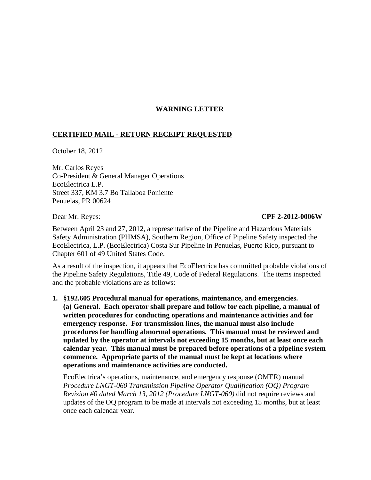# **WARNING LETTER**

## **CERTIFIED MAIL - RETURN RECEIPT REQUESTED**

October 18, 2012

Mr. Carlos Reyes Co-President & General Manager Operations EcoElectrica L.P. Street 337, KM 3.7 Bo Tallaboa Poniente Penuelas, PR 00624

### Dear Mr. Reyes: **CPF 2-2012-0006W**

Between April 23 and 27, 2012, a representative of the Pipeline and Hazardous Materials Safety Administration (PHMSA), Southern Region, Office of Pipeline Safety inspected the EcoElectrica, L.P. (EcoElectrica) Costa Sur Pipeline in Penuelas, Puerto Rico, pursuant to Chapter 601 of 49 United States Code.

As a result of the inspection, it appears that EcoElectrica has committed probable violations of the Pipeline Safety Regulations, Title 49, Code of Federal Regulations. The items inspected and the probable violations are as follows:

**1. §192.605 Procedural manual for operations, maintenance, and emergencies. (a) General. Each operator shall prepare and follow for each pipeline, a manual of written procedures for conducting operations and maintenance activities and for emergency response. For transmission lines, the manual must also include procedures for handling abnormal operations. This manual must be reviewed and updated by the operator at intervals not exceeding 15 months, but at least once each calendar year. This manual must be prepared before operations of a pipeline system commence. Appropriate parts of the manual must be kept at locations where operations and maintenance activities are conducted.**

EcoElectrica's operations, maintenance, and emergency response (OMER) manual *Procedure LNGT-060 Transmission Pipeline Operator Qualification (OQ) Program Revision #0 dated March 13, 2012 (Procedure LNGT-060)* did not require reviews and updates of the OQ program to be made at intervals not exceeding 15 months, but at least once each calendar year.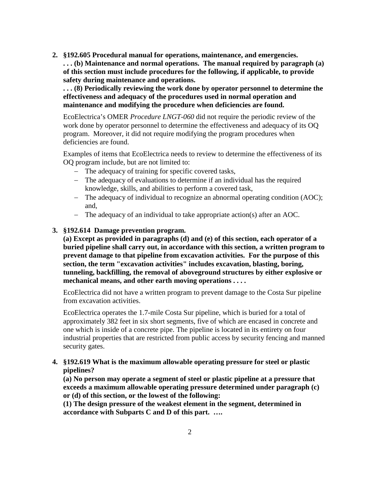**2. §192.605 Procedural manual for operations, maintenance, and emergencies. . . . (b) Maintenance and normal operations. The manual required by paragraph (a) of this section must include procedures for the following, if applicable, to provide safety during maintenance and operations.**

**. . . (8) Periodically reviewing the work done by operator personnel to determine the effectiveness and adequacy of the procedures used in normal operation and maintenance and modifying the procedure when deficiencies are found.**

EcoElectrica's OMER *Procedure LNGT-060* did not require the periodic review of the work done by operator personnel to determine the effectiveness and adequacy of its OQ program. Moreover, it did not require modifying the program procedures when deficiencies are found.

Examples of items that EcoElectrica needs to review to determine the effectiveness of its OQ program include, but are not limited to:

- − The adequacy of training for specific covered tasks,
- − The adequacy of evaluations to determine if an individual has the required knowledge, skills, and abilities to perform a covered task,
- − The adequacy of individual to recognize an abnormal operating condition (AOC); and,
- − The adequacy of an individual to take appropriate action(s) after an AOC.

### **3. §192.614 Damage prevention program.**

**(a) Except as provided in paragraphs (d) and (e) of this section, each operator of a buried pipeline shall carry out, in accordance with this section, a written program to prevent damage to that pipeline from excavation activities. For the purpose of this section, the term "excavation activities" includes excavation, blasting, boring, tunneling, backfilling, the removal of aboveground structures by either explosive or mechanical means, and other earth moving operations . . . .** 

EcoElectrica did not have a written program to prevent damage to the Costa Sur pipeline from excavation activities.

EcoElectrica operates the 1.7-mile Costa Sur pipeline, which is buried for a total of approximately 382 feet in six short segments, five of which are encased in concrete and one which is inside of a concrete pipe. The pipeline is located in its entirety on four industrial properties that are restricted from public access by security fencing and manned security gates.

**4. §192.619 What is the maximum allowable operating pressure for steel or plastic pipelines?**

**(a) No person may operate a segment of steel or plastic pipeline at a pressure that exceeds a maximum allowable operating pressure determined under paragraph (c) or (d) of this section, or the lowest of the following:** 

**(1) The design pressure of the weakest element in the segment, determined in accordance with Subparts C and D of this part. ….**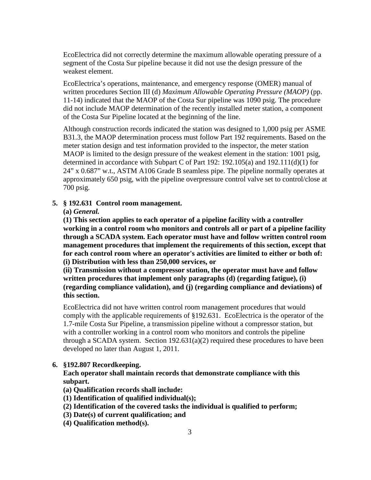EcoElectrica did not correctly determine the maximum allowable operating pressure of a segment of the Costa Sur pipeline because it did not use the design pressure of the weakest element.

EcoElectrica's operations, maintenance, and emergency response (OMER) manual of written procedures Section III (d) *Maximum Allowable Operating Pressure (MAOP)* (pp. 11-14) indicated that the MAOP of the Costa Sur pipeline was 1090 psig. The procedure did not include MAOP determination of the recently installed meter station, a component of the Costa Sur Pipeline located at the beginning of the line.

Although construction records indicated the station was designed to 1,000 psig per ASME B31.3, the MAOP determination process must follow Part 192 requirements. Based on the meter station design and test information provided to the inspector, the meter station MAOP is limited to the design pressure of the weakest element in the station: 1001 psig, determined in accordance with Subpart C of Part 192: 192.105(a) and 192.111(d)(1) for 24" x 0.687" w.t., ASTM A106 Grade B seamless pipe. The pipeline normally operates at approximately 650 psig, with the pipeline overpressure control valve set to control/close at 700 psig.

## **5. § 192.631 Control room management.**

**(a)** *General.*

**(1) This section applies to each operator of a pipeline facility with a controller working in a control room who monitors and controls all or part of a pipeline facility through a SCADA system. Each operator must have and follow written control room management procedures that implement the requirements of this section, except that for each control room where an operator's activities are limited to either or both of: (i) Distribution with less than 250,000 services, or** 

**(ii) Transmission without a compressor station, the operator must have and follow written procedures that implement only paragraphs (d) (regarding fatigue), (i) (regarding compliance validation), and (j) (regarding compliance and deviations) of this section.**

EcoElectrica did not have written control room management procedures that would comply with the applicable requirements of §192.631. EcoElectrica is the operator of the 1.7-mile Costa Sur Pipeline, a transmission pipeline without a compressor station, but with a controller working in a control room who monitors and controls the pipeline through a SCADA system. Section  $192.631(a)(2)$  required these procedures to have been developed no later than August 1, 2011.

## **6. §192.807 Recordkeeping.**

**Each operator shall maintain records that demonstrate compliance with this subpart.**

**(a) Qualification records shall include:**

- **(1) Identification of qualified individual(s);**
- **(2) Identification of the covered tasks the individual is qualified to perform;**
- **(3) Date(s) of current qualification; and**
- **(4) Qualification method(s).**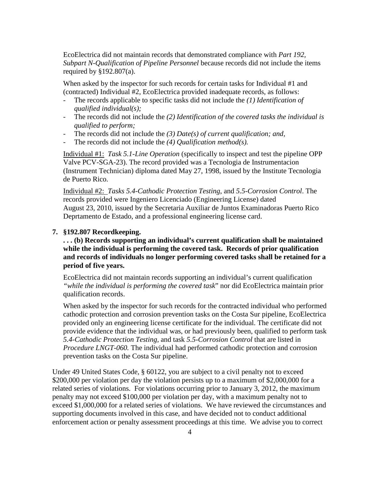EcoElectrica did not maintain records that demonstrated compliance with *Part 192, Subpart N-Qualification of Pipeline Personnel* because records did not include the items required by  $§192.807(a)$ .

When asked by the inspector for such records for certain tasks for Individual #1 and (contracted) Individual #2, EcoElectrica provided inadequate records, as follows:

- The records applicable to specific tasks did not include the *(1) Identification of qualified individual(s);*
- The records did not include the (2) Identification of the covered tasks the individual is *qualified to perform;*
- The records did not include the *(3) Date(s) of current qualification; and,*
- The records did not include the (4) *Qualification method(s)*.

Individual #1: *Task 5.1-Line Operation* (specifically to inspect and test the pipeline OPP Valve PCV-SGA-23). The record provided was a Tecnologia de Instrumentacion (Instrument Technician) diploma dated May 27, 1998, issued by the Institute Tecnologia de Puerto Rico.

Individual #2: *Tasks 5.4-Cathodic Protection Testing*, and *5.5-Corrosion Control*. The records provided were Ingeniero Licenciado (Engineering License) dated August 23, 2010, issued by the Secretaria Auxiliar de Juntos Examinadoras Puerto Rico Deprtamento de Estado, and a professional engineering license card.

#### **7. §192.807 Recordkeeping.**

# **. . . (b) Records supporting an individual's current qualification shall be maintained while the individual is performing the covered task. Records of prior qualification and records of individuals no longer performing covered tasks shall be retained for a period of five years.**

EcoElectrica did not maintain records supporting an individual's current qualification *"while the individual is performing the covered task*" nor did EcoElectrica maintain prior qualification records.

When asked by the inspector for such records for the contracted individual who performed cathodic protection and corrosion prevention tasks on the Costa Sur pipeline, EcoElectrica provided only an engineering license certificate for the individual. The certificate did not provide evidence that the individual was, or had previously been, qualified to perform task *5.4-Cathodic Protection Testing,* and task *5.5-Corrosion Control* that are listed in *Procedure LNGT-060.* The individual had performed cathodic protection and corrosion prevention tasks on the Costa Sur pipeline.

Under 49 United States Code, § 60122, you are subject to a civil penalty not to exceed \$200,000 per violation per day the violation persists up to a maximum of \$2,000,000 for a related series of violations. For violations occurring prior to January 3, 2012, the maximum penalty may not exceed \$100,000 per violation per day, with a maximum penalty not to exceed \$1,000,000 for a related series of violations. We have reviewed the circumstances and supporting documents involved in this case, and have decided not to conduct additional enforcement action or penalty assessment proceedings at this time. We advise you to correct